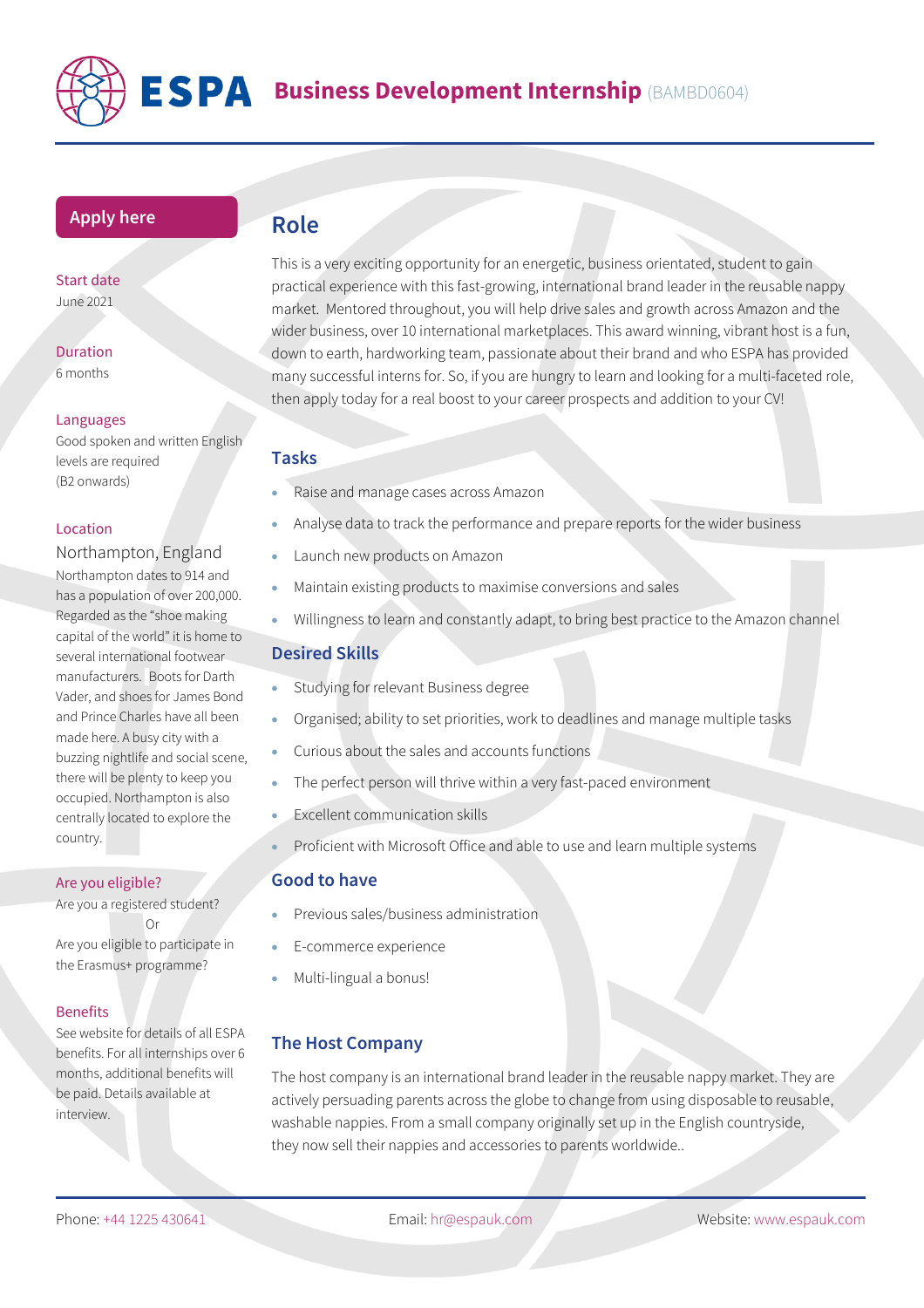

## **[Apply](https://www.espauk.com/students/student-application/) here**

Start date June 2021

Duration 6 months

### Languages

Good spoken and written English levels are required (B2 onwards)

### Location

Northampton, England Northampton dates to 914 and has a population of over 200,000. Regarded as the "shoe making capital of the world" it is home to several international footwear manufacturers. Boots for Darth Vader, and shoes for James Bond and Prince Charles have all been made here. A busy city with a buzzing nightlife and social scene, there will be plenty to keep you occupied. Northampton is also centrally located to explore the country.

#### Are you eligible?

Are you a registered student? Or Are you eligible to participate in the Erasmus+ programme?

### Benefits

See website for details of all ESPA benefits. For all internships over 6 months, additional benefits will be paid. Details available at interview.

# **Role**

This is a very exciting opportunity for an energetic, business orientated, student to gain practical experience with this fast-growing, international brand leader in the reusable nappy market. Mentored throughout, you will help drive sales and growth across Amazon and the wider business, over 10 international marketplaces. This award winning, vibrant host is a fun, down to earth, hardworking team, passionate about their brand and who ESPA has provided many successful interns for. So, if you are hungry to learn and looking for a multi-faceted role, then apply today for a real boost to your career prospects and addition to your CV!

### **Tasks**

- Raise and manage cases across Amazon
- Analyse data to track the performance and prepare reports for the wider business
- Launch new products on Amazon
- Maintain existing products to maximise conversions and sales
- Willingness to learn and constantly adapt, to bring best practice to the Amazon channel

## **Desired Skills**

- Studying for relevant Business degree
- Organised; ability to set priorities, work to deadlines and manage multiple tasks
- Curious about the sales and accounts functions
- The perfect person will thrive within a very fast-paced environment
- **Excellent communication skills**
- Proficient with Microsoft Office and able to use and learn multiple systems

### **Good to have**

- Previous sales/business administration
- E-commerce experience
- Multi-lingual a bonus!

# **The Host Company**

The host company is an international brand leader in the reusable nappy market. They are actively persuading parents across the globe to change from using disposable to reusable, washable nappies. From a small company originally set up in the English countryside, they now sell their nappies and accessories to parents worldwide..